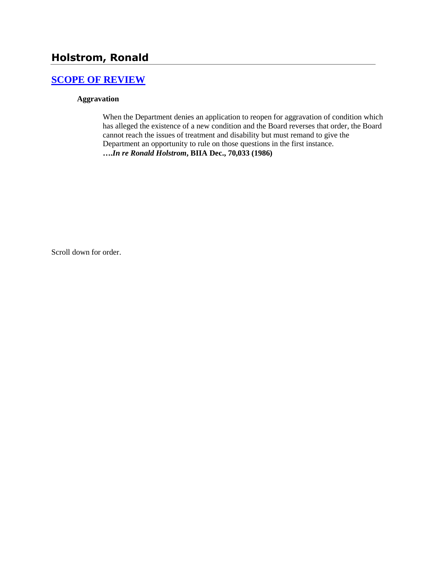# **Holstrom, Ronald**

## **[SCOPE OF REVIEW](http://www.biia.wa.gov/SDSubjectIndex.html#SCOPE_OF_REVIEW)**

### **Aggravation**

When the Department denies an application to reopen for aggravation of condition which has alleged the existence of a new condition and the Board reverses that order, the Board cannot reach the issues of treatment and disability but must remand to give the Department an opportunity to rule on those questions in the first instance. **….***In re Ronald Holstrom***, BIIA Dec., 70,033 (1986)**

Scroll down for order.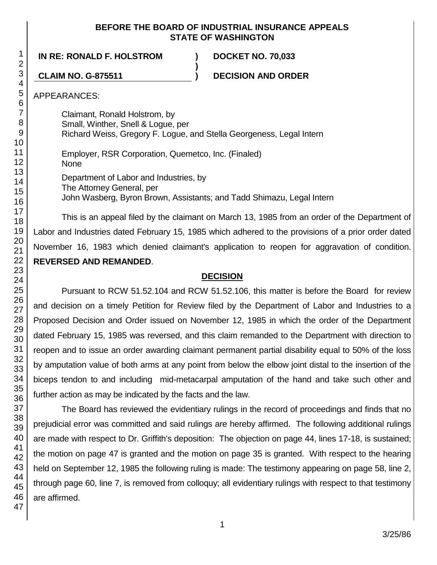### **BEFORE THE BOARD OF INDUSTRIAL INSURANCE APPEALS STATE OF WASHINGTON**

**IN RE: RONALD F. HOLSTROM ) DOCKET NO. 70,033**

**CLAIM NO. G-875511 ) DECISION AND ORDER**

APPEARANCES:

Claimant, Ronald Holstrom, by Small, Winther, Snell & Logue, per Richard Weiss, Gregory F. Logue, and Stella Georgeness, Legal Intern

**)**

Employer, RSR Corporation, Quemetco, Inc. (Finaled) None Department of Labor and Industries, by The Attorney General, per

John Wasberg, Byron Brown, Assistants; and Tadd Shimazu, Legal Intern

This is an appeal filed by the claimant on March 13, 1985 from an order of the Department of Labor and Industries dated February 15, 1985 which adhered to the provisions of a prior order dated November 16, 1983 which denied claimant's application to reopen for aggravation of condition. **REVERSED AND REMANDED**.

### **DECISION**

Pursuant to RCW 51.52.104 and RCW 51.52.106, this matter is before the Board for review and decision on a timely Petition for Review filed by the Department of Labor and Industries to a Proposed Decision and Order issued on November 12, 1985 in which the order of the Department dated February 15, 1985 was reversed, and this claim remanded to the Department with direction to reopen and to issue an order awarding claimant permanent partial disability equal to 50% of the loss by amputation value of both arms at any point from below the elbow joint distal to the insertion of the biceps tendon to and including mid-metacarpal amputation of the hand and take such other and further action as may be indicated by the facts and the law.

The Board has reviewed the evidentiary rulings in the record of proceedings and finds that no prejudicial error was committed and said rulings are hereby affirmed. The following additional rulings are made with respect to Dr. Griffith's deposition: The objection on page 44, lines 17-18, is sustained; the motion on page 47 is granted and the motion on page 35 is granted. With respect to the hearing held on September 12, 1985 the following ruling is made: The testimony appearing on page 58, line 2, through page 60, line 7, is removed from colloquy; all evidentiary rulings with respect to that testimony are affirmed.

1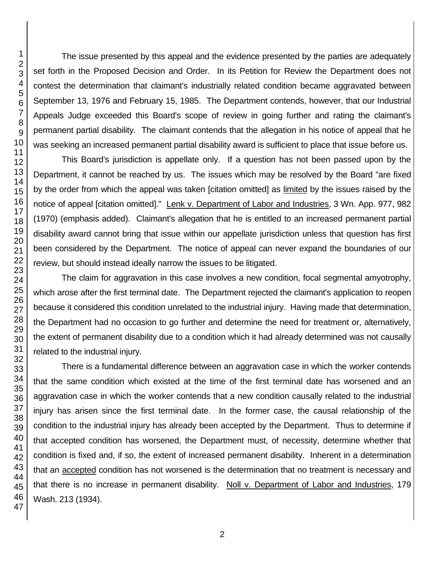The issue presented by this appeal and the evidence presented by the parties are adequately set forth in the Proposed Decision and Order. In its Petition for Review the Department does not contest the determination that claimant's industrially related condition became aggravated between September 13, 1976 and February 15, 1985. The Department contends, however, that our Industrial Appeals Judge exceeded this Board's scope of review in going further and rating the claimant's permanent partial disability. The claimant contends that the allegation in his notice of appeal that he was seeking an increased permanent partial disability award is sufficient to place that issue before us.

This Board's jurisdiction is appellate only. If a question has not been passed upon by the Department, it cannot be reached by us. The issues which may be resolved by the Board "are fixed by the order from which the appeal was taken [citation omitted] as limited by the issues raised by the notice of appeal [citation omitted]." Lenk v. Department of Labor and Industries, 3 Wn. App. 977, 982 (1970) (emphasis added). Claimant's allegation that he is entitled to an increased permanent partial disability award cannot bring that issue within our appellate jurisdiction unless that question has first been considered by the Department. The notice of appeal can never expand the boundaries of our review, but should instead ideally narrow the issues to be litigated.

The claim for aggravation in this case involves a new condition, focal segmental amyotrophy, which arose after the first terminal date. The Department rejected the claimant's application to reopen because it considered this condition unrelated to the industrial injury. Having made that determination, the Department had no occasion to go further and determine the need for treatment or, alternatively, the extent of permanent disability due to a condition which it had already determined was not causally related to the industrial injury.

There is a fundamental difference between an aggravation case in which the worker contends that the same condition which existed at the time of the first terminal date has worsened and an aggravation case in which the worker contends that a new condition causally related to the industrial injury has arisen since the first terminal date. In the former case, the causal relationship of the condition to the industrial injury has already been accepted by the Department. Thus to determine if that accepted condition has worsened, the Department must, of necessity, determine whether that condition is fixed and, if so, the extent of increased permanent disability. Inherent in a determination that an accepted condition has not worsened is the determination that no treatment is necessary and that there is no increase in permanent disability. Noll v. Department of Labor and Industries, 179 Wash. 213 (1934).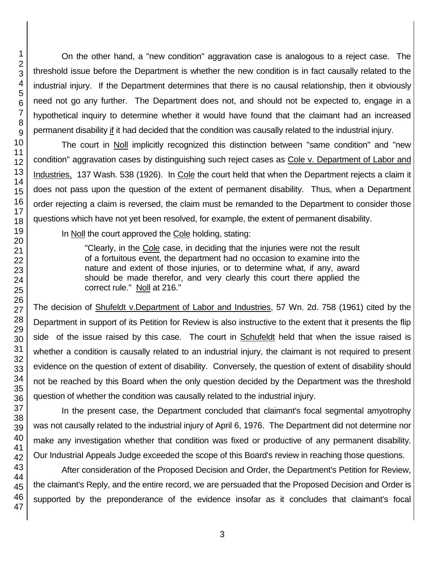On the other hand, a "new condition" aggravation case is analogous to a reject case. The threshold issue before the Department is whether the new condition is in fact causally related to the industrial injury. If the Department determines that there is no causal relationship, then it obviously need not go any further. The Department does not, and should not be expected to, engage in a hypothetical inquiry to determine whether it would have found that the claimant had an increased permanent disability if it had decided that the condition was causally related to the industrial injury.

The court in Noll implicitly recognized this distinction between "same condition" and "new condition" aggravation cases by distinguishing such reject cases as Cole v. Department of Labor and Industries, 137 Wash. 538 (1926). In Cole the court held that when the Department rejects a claim it does not pass upon the question of the extent of permanent disability. Thus, when a Department order rejecting a claim is reversed, the claim must be remanded to the Department to consider those questions which have not yet been resolved, for example, the extent of permanent disability.

In Noll the court approved the Cole holding, stating:

"Clearly, in the Cole case, in deciding that the injuries were not the result of a fortuitous event, the department had no occasion to examine into the nature and extent of those injuries, or to determine what, if any, award should be made therefor, and very clearly this court there applied the correct rule." Noll at 216."

The decision of Shufeldt v.Department of Labor and Industries, 57 Wn. 2d. 758 (1961) cited by the Department in support of its Petition for Review is also instructive to the extent that it presents the flip side of the issue raised by this case. The court in Schufeldt held that when the issue raised is whether a condition is causally related to an industrial injury, the claimant is not required to present evidence on the question of extent of disability. Conversely, the question of extent of disability should not be reached by this Board when the only question decided by the Department was the threshold question of whether the condition was causally related to the industrial injury.

In the present case, the Department concluded that claimant's focal segmental amyotrophy was not causally related to the industrial injury of April 6, 1976. The Department did not determine nor make any investigation whether that condition was fixed or productive of any permanent disability. Our Industrial Appeals Judge exceeded the scope of this Board's review in reaching those questions.

After consideration of the Proposed Decision and Order, the Department's Petition for Review, the claimant's Reply, and the entire record, we are persuaded that the Proposed Decision and Order is supported by the preponderance of the evidence insofar as it concludes that claimant's focal